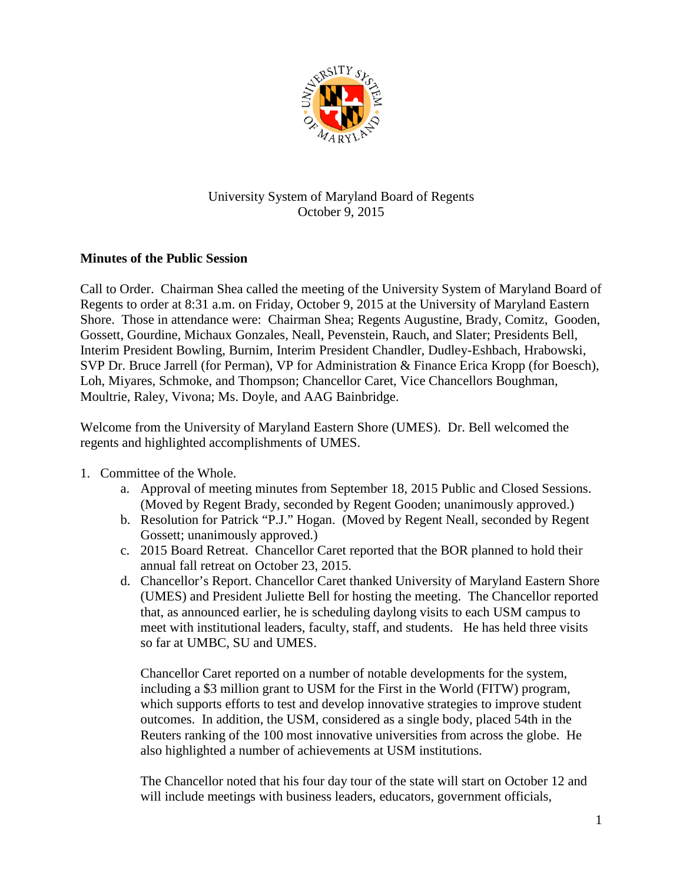

## University System of Maryland Board of Regents October 9, 2015

## **Minutes of the Public Session**

Call to Order. Chairman Shea called the meeting of the University System of Maryland Board of Regents to order at 8:31 a.m. on Friday, October 9, 2015 at the University of Maryland Eastern Shore. Those in attendance were: Chairman Shea; Regents Augustine, Brady, Comitz, Gooden, Gossett, Gourdine, Michaux Gonzales, Neall, Pevenstein, Rauch, and Slater; Presidents Bell, Interim President Bowling, Burnim, Interim President Chandler, Dudley-Eshbach, Hrabowski, SVP Dr. Bruce Jarrell (for Perman), VP for Administration & Finance Erica Kropp (for Boesch), Loh, Miyares, Schmoke, and Thompson; Chancellor Caret, Vice Chancellors Boughman, Moultrie, Raley, Vivona; Ms. Doyle, and AAG Bainbridge.

Welcome from the University of Maryland Eastern Shore (UMES). Dr. Bell welcomed the regents and highlighted accomplishments of UMES.

- 1. Committee of the Whole.
	- a. Approval of meeting minutes from September 18, 2015 Public and Closed Sessions. (Moved by Regent Brady, seconded by Regent Gooden; unanimously approved.)
	- b. Resolution for Patrick "P.J." Hogan. (Moved by Regent Neall, seconded by Regent Gossett; unanimously approved.)
	- c. 2015 Board Retreat. Chancellor Caret reported that the BOR planned to hold their annual fall retreat on October 23, 2015.
	- d. Chancellor's Report. Chancellor Caret thanked University of Maryland Eastern Shore (UMES) and President Juliette Bell for hosting the meeting. The Chancellor reported that, as announced earlier, he is scheduling daylong visits to each USM campus to meet with institutional leaders, faculty, staff, and students. He has held three visits so far at UMBC, SU and UMES.

Chancellor Caret reported on a number of notable developments for the system, including a \$3 million grant to USM for the First in the World (FITW) program, which supports efforts to test and develop innovative strategies to improve student outcomes. In addition, the USM, considered as a single body, placed 54th in the Reuters ranking of the 100 most innovative universities from across the globe. He also highlighted a number of achievements at USM institutions.

The Chancellor noted that his four day tour of the state will start on October 12 and will include meetings with business leaders, educators, government officials,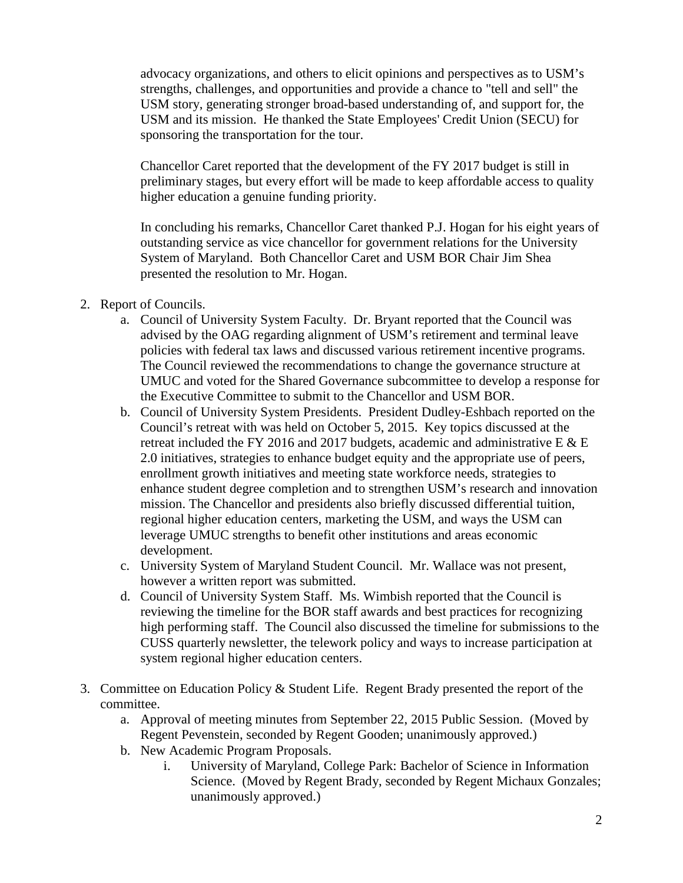advocacy organizations, and others to elicit opinions and perspectives as to USM's strengths, challenges, and opportunities and provide a chance to "tell and sell" the USM story, generating stronger broad-based understanding of, and support for, the USM and its mission. He thanked the State Employees' Credit Union (SECU) for sponsoring the transportation for the tour.

Chancellor Caret reported that the development of the FY 2017 budget is still in preliminary stages, but every effort will be made to keep affordable access to quality higher education a genuine funding priority.

In concluding his remarks, Chancellor Caret thanked P.J. Hogan for his eight years of outstanding service as vice chancellor for government relations for the University System of Maryland. Both Chancellor Caret and USM BOR Chair Jim Shea presented the resolution to Mr. Hogan.

- 2. Report of Councils.
	- a. Council of University System Faculty. Dr. Bryant reported that the Council was advised by the OAG regarding alignment of USM's retirement and terminal leave policies with federal tax laws and discussed various retirement incentive programs. The Council reviewed the recommendations to change the governance structure at UMUC and voted for the Shared Governance subcommittee to develop a response for the Executive Committee to submit to the Chancellor and USM BOR.
	- b. Council of University System Presidents. President Dudley-Eshbach reported on the Council's retreat with was held on October 5, 2015. Key topics discussed at the retreat included the FY 2016 and 2017 budgets, academic and administrative E & E 2.0 initiatives, strategies to enhance budget equity and the appropriate use of peers, enrollment growth initiatives and meeting state workforce needs, strategies to enhance student degree completion and to strengthen USM's research and innovation mission. The Chancellor and presidents also briefly discussed differential tuition, regional higher education centers, marketing the USM, and ways the USM can leverage UMUC strengths to benefit other institutions and areas economic development.
	- c. University System of Maryland Student Council. Mr. Wallace was not present, however a written report was submitted.
	- d. Council of University System Staff. Ms. Wimbish reported that the Council is reviewing the timeline for the BOR staff awards and best practices for recognizing high performing staff. The Council also discussed the timeline for submissions to the CUSS quarterly newsletter, the telework policy and ways to increase participation at system regional higher education centers.
- 3. Committee on Education Policy & Student Life. Regent Brady presented the report of the committee.
	- a. Approval of meeting minutes from September 22, 2015 Public Session. (Moved by Regent Pevenstein, seconded by Regent Gooden; unanimously approved.)
	- b. New Academic Program Proposals.
		- i. University of Maryland, College Park: Bachelor of Science in Information Science. (Moved by Regent Brady, seconded by Regent Michaux Gonzales; unanimously approved.)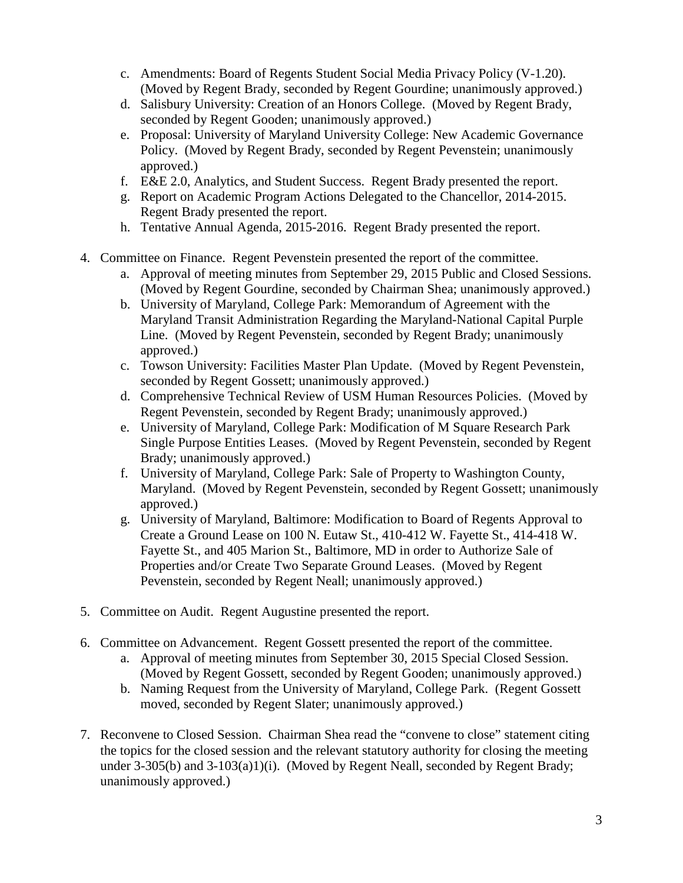- c. Amendments: Board of Regents Student Social Media Privacy Policy (V-1.20). (Moved by Regent Brady, seconded by Regent Gourdine; unanimously approved.)
- d. Salisbury University: Creation of an Honors College. (Moved by Regent Brady, seconded by Regent Gooden; unanimously approved.)
- e. Proposal: University of Maryland University College: New Academic Governance Policy. (Moved by Regent Brady, seconded by Regent Pevenstein; unanimously approved.)
- f. E&E 2.0, Analytics, and Student Success. Regent Brady presented the report.
- g. Report on Academic Program Actions Delegated to the Chancellor, 2014-2015. Regent Brady presented the report.
- h. Tentative Annual Agenda, 2015-2016. Regent Brady presented the report.
- 4. Committee on Finance. Regent Pevenstein presented the report of the committee.
	- a. Approval of meeting minutes from September 29, 2015 Public and Closed Sessions. (Moved by Regent Gourdine, seconded by Chairman Shea; unanimously approved.)
	- b. University of Maryland, College Park: Memorandum of Agreement with the Maryland Transit Administration Regarding the Maryland-National Capital Purple Line. (Moved by Regent Pevenstein, seconded by Regent Brady; unanimously approved.)
	- c. Towson University: Facilities Master Plan Update. (Moved by Regent Pevenstein, seconded by Regent Gossett; unanimously approved.)
	- d. Comprehensive Technical Review of USM Human Resources Policies. (Moved by Regent Pevenstein, seconded by Regent Brady; unanimously approved.)
	- e. University of Maryland, College Park: Modification of M Square Research Park Single Purpose Entities Leases. (Moved by Regent Pevenstein, seconded by Regent Brady; unanimously approved.)
	- f. University of Maryland, College Park: Sale of Property to Washington County, Maryland. (Moved by Regent Pevenstein, seconded by Regent Gossett; unanimously approved.)
	- g. University of Maryland, Baltimore: Modification to Board of Regents Approval to Create a Ground Lease on 100 N. Eutaw St., 410-412 W. Fayette St., 414-418 W. Fayette St., and 405 Marion St., Baltimore, MD in order to Authorize Sale of Properties and/or Create Two Separate Ground Leases. (Moved by Regent Pevenstein, seconded by Regent Neall; unanimously approved.)
- 5. Committee on Audit. Regent Augustine presented the report.
- 6. Committee on Advancement. Regent Gossett presented the report of the committee.
	- a. Approval of meeting minutes from September 30, 2015 Special Closed Session. (Moved by Regent Gossett, seconded by Regent Gooden; unanimously approved.)
	- b. Naming Request from the University of Maryland, College Park. (Regent Gossett moved, seconded by Regent Slater; unanimously approved.)
- 7. Reconvene to Closed Session. Chairman Shea read the "convene to close" statement citing the topics for the closed session and the relevant statutory authority for closing the meeting under 3-305(b) and 3-103(a)1)(i). (Moved by Regent Neall, seconded by Regent Brady; unanimously approved.)